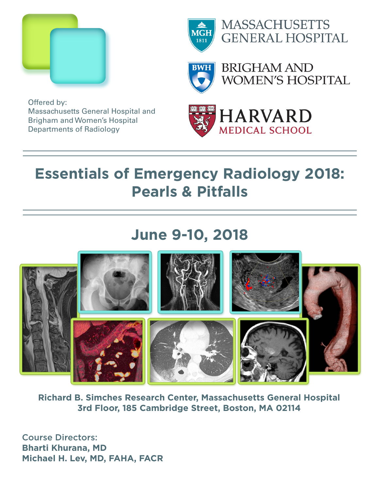



**MASSACHUSETTS GENERAL HOSPITAL** 

**BRIGHAM AND WOMEN'S HOSPITAL** 

Offered by: Massachusetts General Hospital and Brigham and Women's Hospital Departments of Radiology



# **Essentials of Emergency Radiology 2018: Pearls & Pitfalls**

# **June 9-10, 2018**



**Richard B. Simches Research Center, Massachusetts General Hospital 3rd Floor, 185 Cambridge Street, Boston, MA 02114**

Course Directors: **Bharti Khurana, MD Michael H. Lev, MD, FAHA, FACR**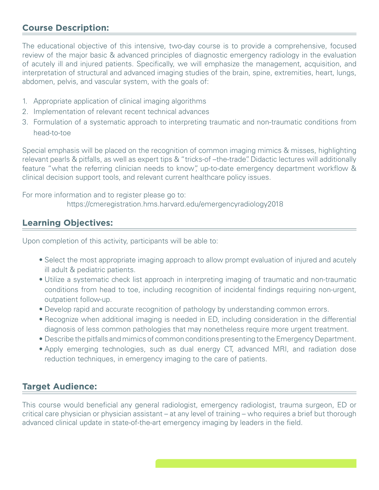### **Course Description:**

The educational objective of this intensive, two-day course is to provide a comprehensive, focused review of the major basic & advanced principles of diagnostic emergency radiology in the evaluation of acutely ill and injured patients. Specifically, we will emphasize the management, acquisition, and interpretation of structural and advanced imaging studies of the brain, spine, extremities, heart, lungs, abdomen, pelvis, and vascular system, with the goals of:

- 1. Appropriate application of clinical imaging algorithms
- 2. Implementation of relevant recent technical advances
- 3. Formulation of a systematic approach to interpreting traumatic and non-traumatic conditions from head-to-toe

Special emphasis will be placed on the recognition of common imaging mimics & misses, highlighting relevant pearls & pitfalls, as well as expert tips & "tricks-of –the-trade". Didactic lectures will additionally feature "what the referring clinician needs to know", up-to-date emergency department workflow & clinical decision support tools, and relevant current healthcare policy issues.

For more information and to register please go to:

https://cmeregistration.hms.harvard.edu/emergencyradiology2018

#### **Learning Objectives:**

Upon completion of this activity, participants will be able to:

- Select the most appropriate imaging approach to allow prompt evaluation of injured and acutely ill adult & pediatric patients.
- Utilize a systematic check list approach in interpreting imaging of traumatic and non-traumatic conditions from head to toe, including recognition of incidental findings requiring non-urgent, outpatient follow-up.
- Develop rapid and accurate recognition of pathology by understanding common errors.
- Recognize when additional imaging is needed in ED, including consideration in the differential diagnosis of less common pathologies that may nonetheless require more urgent treatment.
- Describe the pitfalls and mimics of common conditions presenting to the Emergency Department.
- Apply emerging technologies, such as dual energy CT, advanced MRI, and radiation dose reduction techniques, in emergency imaging to the care of patients.

#### **Target Audience:**

This course would beneficial any general radiologist, emergency radiologist, trauma surgeon, ED or critical care physician or physician assistant – at any level of training – who requires a brief but thorough advanced clinical update in state-of-the-art emergency imaging by leaders in the field.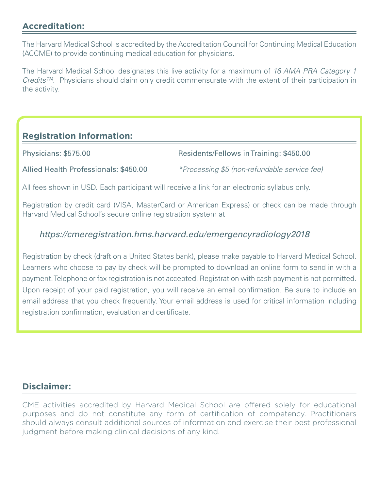## **Accreditation:**

The Harvard Medical School is accredited by the Accreditation Council for Continuing Medical Education (ACCME) to provide continuing medical education for physicians.

The Harvard Medical School designates this live activity for a maximum of *16 AMA PRA Category 1 Credits™*. Physicians should claim only credit commensurate with the extent of their participation in the activity.

## **Registration Information:**

Physicians: \$575.00 Residents/Fellows in Training: \$450.00

Allied Health Professionals: \$450.00 *\*Processing \$5 (non-refundable service fee)*

All fees shown in USD. Each participant will receive a link for an electronic syllabus only.

Registration by credit card (VISA, MasterCard or American Express) or check can be made through Harvard Medical School's secure online registration system at

#### *https://cmeregistration.hms.harvard.edu/emergencyradiology2018*

Registration by check (draft on a United States bank), please make payable to Harvard Medical School. Learners who choose to pay by check will be prompted to download an online form to send in with a payment. Telephone or fax registration is not accepted. Registration with cash payment is not permitted. Upon receipt of your paid registration, you will receive an email confirmation. Be sure to include an email address that you check frequently. Your email address is used for critical information including registration confirmation, evaluation and certificate.

#### **Disclaimer:**

CME activities accredited by Harvard Medical School are offered solely for educational purposes and do not constitute any form of certification of competency. Practitioners should always consult additional sources of information and exercise their best professional judgment before making clinical decisions of any kind.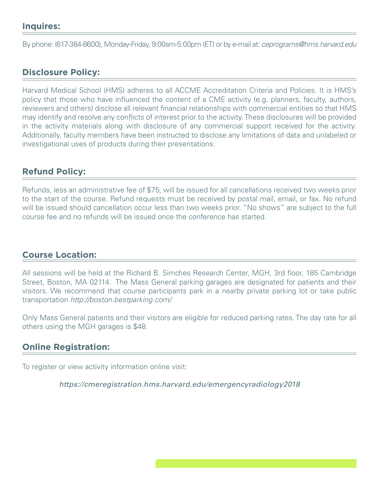By phone: (617-384-8600), Monday-Friday, 9:00am-5:00pm (ET) or by e-mail at: *ceprograms@hms.harvard.edu*

### **Disclosure Policy:**

Harvard Medical School (HMS) adheres to all ACCME Accreditation Criteria and Policies. It is HMS's policy that those who have influenced the content of a CME activity (e.g. planners, faculty, authors, reviewers and others) disclose all relevant financial relationships with commercial entities so that HMS may identify and resolve any conflicts of interest prior to the activity. These disclosures will be provided in the activity materials along with disclosure of any commercial support received for the activity. Additionally, faculty members have been instructed to disclose any limitations of data and unlabeled or investigational uses of products during their presentations.

#### **Refund Policy:**

Refunds, less an administrative fee of \$75, will be issued for all cancellations received two weeks prior to the start of the course. Refund requests must be received by postal mail, email, or fax. No refund will be issued should cancellation occur less than two weeks prior. "No shows" are subject to the full course fee and no refunds will be issued once the conference has started.

#### **Course Location:**

All sessions will be held at the Richard B. Simches Research Center, MGH, 3rd floor, 185 Cambridge Street, Boston, MA 02114. The Mass General parking garages are designated for patients and their visitors. We recommend that course participants park in a nearby private parking lot or take public transportation *http://boston.bestparking.com/*

Only Mass General patients and their visitors are eligible for reduced parking rates. The day rate for all others using the MGH garages is \$48.

#### **Online Registration:**

To register or view activity information online visit:

*https://cmeregistration.hms.harvard.edu/emergencyradiology2018*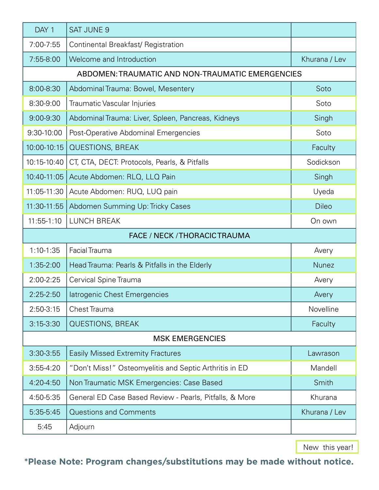| DAY 1                                            | <b>SAT JUNE 9</b>                                       |               |  |
|--------------------------------------------------|---------------------------------------------------------|---------------|--|
| 7:00-7:55                                        | Continental Breakfast/ Registration                     |               |  |
| 7:55-8:00                                        | Welcome and Introduction                                | Khurana / Lev |  |
| ABDOMEN: TRAUMATIC AND NON-TRAUMATIC EMERGENCIES |                                                         |               |  |
| 8:00-8:30                                        | Abdominal Trauma: Bowel, Mesentery                      | Soto          |  |
| 8:30-9:00                                        | Traumatic Vascular Injuries                             | Soto          |  |
| 9:00-9:30                                        | Abdominal Trauma: Liver, Spleen, Pancreas, Kidneys      | Singh         |  |
| 9:30-10:00                                       | Post-Operative Abdominal Emergencies                    | Soto          |  |
| 10:00-10:15                                      | <b>QUESTIONS, BREAK</b>                                 | Faculty       |  |
| 10:15-10:40                                      | CT, CTA, DECT: Protocols, Pearls, & Pitfalls            | Sodickson     |  |
| 10:40-11:05                                      | Acute Abdomen: RLQ, LLQ Pain                            | Singh         |  |
| 11:05-11:30                                      | Acute Abdomen: RUQ, LUQ pain                            | Uyeda         |  |
| 11:30-11:55                                      | Abdomen Summing Up: Tricky Cases                        | <b>Dileo</b>  |  |
| $11:55-1:10$                                     | <b>LUNCH BREAK</b>                                      | On own        |  |
| <b>FACE / NECK / THORACIC TRAUMA</b>             |                                                         |               |  |
| $1:10-1:35$                                      | Facial Trauma                                           | Avery         |  |
| 1:35-2:00                                        | Head Trauma: Pearls & Pitfalls in the Elderly           | <b>Nunez</b>  |  |
| 2:00-2:25                                        | Cervical Spine Trauma                                   | Avery         |  |
| 2:25-2:50                                        | latrogenic Chest Emergencies                            | Avery         |  |
| $2:50-3:15$                                      | <b>Chest Trauma</b>                                     | Novelline     |  |
| $3:15 - 3:30$                                    | <b>QUESTIONS, BREAK</b>                                 | Faculty       |  |
| <b>MSK EMERGENCIES</b>                           |                                                         |               |  |
| $3:30-3:55$                                      | <b>Easily Missed Extremity Fractures</b>                | Lawrason      |  |
| $3:55-4:20$                                      | "Don't Miss!" Osteomyelitis and Septic Arthritis in ED  | Mandell       |  |
| 4:20-4:50                                        | Non Traumatic MSK Emergencies: Case Based               | Smith         |  |
| 4:50-5:35                                        | General ED Case Based Review - Pearls, Pitfalls, & More | Khurana       |  |
| 5:35-5:45                                        | <b>Questions and Comments</b>                           | Khurana / Lev |  |
| 5:45                                             | Adjourn                                                 |               |  |

New this year!

# **\*Please Note: Program changes/substitutions may be made without notice.**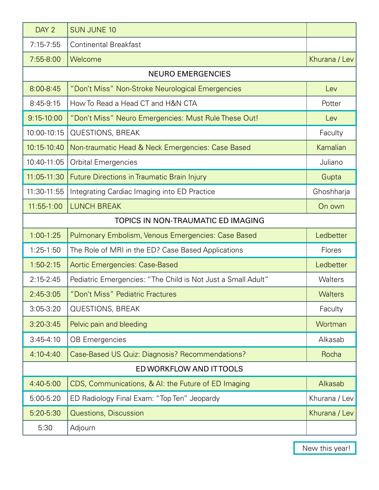| DAY <sub>2</sub>                   | <b>SUN JUNE 10</b>                                           |                |
|------------------------------------|--------------------------------------------------------------|----------------|
| $7:15 - 7:55$                      | <b>Continental Breakfast</b>                                 |                |
| 7:55-8:00                          | Welcome                                                      | Khurana / Lev  |
| <b>NEURO EMERGENCIES</b>           |                                                              |                |
| 8:00-8:45                          | "Don't Miss" Non-Stroke Neurological Emergencies             | Lev            |
| 8:45-9:15                          | How To Read a Head CT and H&N CTA                            | Potter         |
| $9:15 - 10:00$                     | "Don't Miss" Neuro Emergencies: Must Rule These Out!         | Lev            |
| 10:00-10:15                        | <b>QUESTIONS, BREAK</b>                                      | Faculty        |
| 10:15-10:40                        | Non-traumatic Head & Neck Emergencies: Case Based            | Kamalian       |
| 10:40-11:05                        | <b>Orbital Emergencies</b>                                   | Juliano        |
| 11:05-11:30                        | <b>Future Directions in Traumatic Brain Injury</b>           | Gupta          |
| 11:30-11:55                        | Integrating Cardiac Imaging into ED Practice                 | Ghoshharja     |
| $11:55-1:00$                       | <b>LUNCH BREAK</b>                                           | On own         |
| TOPICS IN NON-TRAUMATIC ED IMAGING |                                                              |                |
| $1:00-1:25$                        | Pulmonary Embolism, Venous Emergencies: Case Based           | Ledbetter      |
| 1:25-1:50                          | The Role of MRI in the ED? Case Based Applications           | Flores         |
| $1:50-2:15$                        | Aortic Emergencies: Case-Based                               | Ledbetter      |
| $2:15 - 2:45$                      | Pediatric Emergencies: "The Child is Not Just a Small Adult" | Walters        |
| $2:45-3:05$                        | "Don't Miss" Pediatric Fractures                             | <b>Walters</b> |
| $3:05-3:20$                        | <b>QUESTIONS, BREAK</b>                                      | Faculty        |
| $3:20 - 3:45$                      | Pelvic pain and bleeding                                     | Wortman        |
| $3:45-4:10$                        | <b>OB Emergencies</b>                                        | Alkasab        |
| $4:10 - 4:40$                      | Case-Based US Quiz: Diagnosis? Recommendations?              | Rocha          |
| ED WORKFLOW AND ITTOOLS            |                                                              |                |
| 4:40-5:00                          | CDS, Communications, & AI: the Future of ED Imaging          | Alkasab        |
| 5:00-5:20                          | ED Radiology Final Exam: "Top Ten" Jeopardy                  | Khurana / Lev  |
| 5:20-5:30                          | Questions, Discussion                                        | Khurana / Lev  |
| 5:30                               | Adjourn                                                      |                |

New this year!